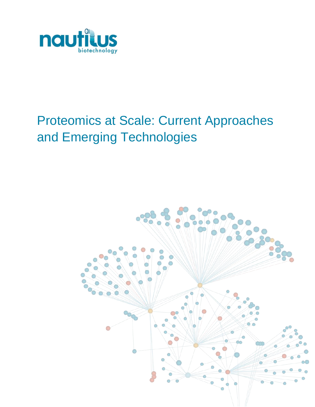

# Proteomics at Scale: Current Approaches and Emerging Technologies

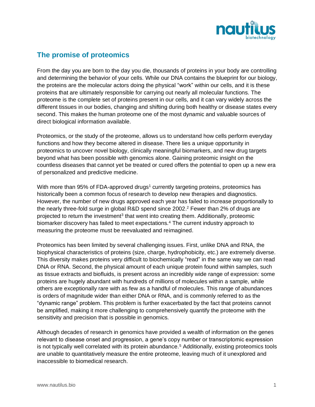

## **The promise of proteomics**

From the day you are born to the day you die, thousands of proteins in your body are controlling and determining the behavior of your cells. While our DNA contains the blueprint for our biology, the proteins are the molecular actors doing the physical "work" within our cells, and it is these proteins that are ultimately responsible for carrying out nearly all molecular functions. The proteome is the complete set of proteins present in our cells, and it can vary widely across the different tissues in our bodies, changing and shifting during both healthy or disease states every second. This makes the human proteome one of the most dynamic and valuable sources of direct biological information available.

Proteomics, or the study of the proteome, allows us to understand how cells perform everyday functions and how they become altered in disease. There lies a unique opportunity in proteomics to uncover novel biology, clinically meaningful biomarkers, and new drug targets beyond what has been possible with genomics alone. Gaining proteomic insight on the countless diseases that cannot yet be treated or cured offers the potential to open up a new era of personalized and predictive medicine.

With more than 95% of FDA-approved drugs<sup>1</sup> currently targeting proteins, proteomics has historically been a common focus of research to develop new therapies and diagnostics. However, the number of new drugs approved each year has failed to increase proportionally to the nearly three-fold surge in global R&D spend since 2002. <sup>2</sup> Fewer than 2% of drugs are projected to return the investment<sup>3</sup> that went into creating them. Additionally, proteomic biomarker discovery has failed to meet expectations.<sup>4</sup> The current industry approach to measuring the proteome must be reevaluated and reimagined.

Proteomics has been limited by several challenging issues. First, unlike DNA and RNA, the biophysical characteristics of proteins (size, charge, hydrophobicity, etc.) are extremely diverse. This diversity makes proteins very difficult to biochemically "read" in the same way we can read DNA or RNA. Second, the physical amount of each unique protein found within samples, such as tissue extracts and biofluids, is present across an incredibly wide range of expression: some proteins are hugely abundant with hundreds of millions of molecules within a sample, while others are exceptionally rare with as few as a handful of molecules. This range of abundances is orders of magnitude wider than either DNA or RNA, and is commonly referred to as the "dynamic range" problem. This problem is further exacerbated by the fact that proteins cannot be amplified, making it more challenging to comprehensively quantify the proteome with the sensitivity and precision that is possible in genomics.

Although decades of research in genomics have provided a wealth of information on the genes relevant to disease onset and progression, a gene's copy number or transcriptomic expression is not typically well correlated with its protein abundance.<sup>5</sup> Additionally, existing proteomics tools are unable to quantitatively measure the entire proteome, leaving much of it unexplored and inaccessible to biomedical research.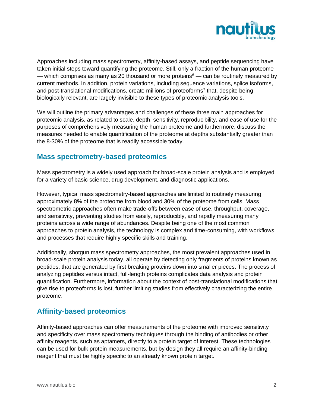

Approaches including mass spectrometry, affinity-based assays, and peptide sequencing have taken initial steps toward quantifying the proteome. Still, only a fraction of the human proteome — which comprises as many as 20 thousand or more proteins $6 -$  can be routinely measured by current methods. In addition, protein variations, including sequence variations, splice isoforms, and post-translational modifications, create millions of proteoforms<sup>7</sup> that, despite being biologically relevant, are largely invisible to these types of proteomic analysis tools.

We will outline the primary advantages and challenges of these three main approaches for proteomic analysis, as related to scale, depth, sensitivity, reproducibility, and ease of use for the purposes of comprehensively measuring the human proteome and furthermore, discuss the measures needed to enable quantification of the proteome at depths substantially greater than the 8-30% of the proteome that is readily accessible today.

#### **Mass spectrometry-based proteomics**

Mass spectrometry is a widely used approach for broad-scale protein analysis and is employed for a variety of basic science, drug development, and diagnostic applications.

However, typical mass spectrometry-based approaches are limited to routinely measuring approximately 8% of the proteome from blood and 30% of the proteome from cells. Mass spectrometric approaches often make trade-offs between ease of use, throughput, coverage, and sensitivity, preventing studies from easily, reproducibly, and rapidly measuring many proteins across a wide range of abundances. Despite being one of the most common approaches to protein analysis, the technology is complex and time-consuming, with workflows and processes that require highly specific skills and training.

Additionally, shotgun mass spectrometry approaches, the most prevalent approaches used in broad-scale protein analysis today, all operate by detecting only fragments of proteins known as peptides, that are generated by first breaking proteins down into smaller pieces. The process of analyzing peptides versus intact, full-length proteins complicates data analysis and protein quantification. Furthermore, information about the context of post-translational modifications that give rise to proteoforms is lost, further limiting studies from effectively characterizing the entire proteome.

# **Affinity-based proteomics**

Affinity-based approaches can offer measurements of the proteome with improved sensitivity and specificity over mass spectrometry techniques through the binding of antibodies or other affinity reagents, such as aptamers, directly to a protein target of interest. These technologies can be used for bulk protein measurements, but by design they all require an affinity-binding reagent that must be highly specific to an already known protein target.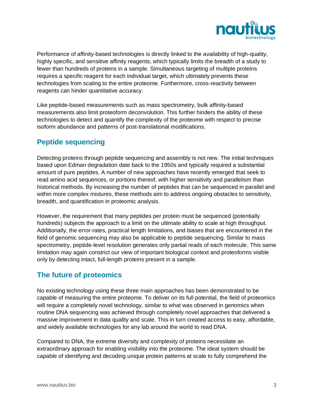

Performance of affinity-based technologies is directly linked to the availability of high-quality, highly specific, and sensitive affinity reagents, which typically limits the breadth of a study to fewer than hundreds of proteins in a sample. Simultaneous targeting of multiple proteins requires a specific reagent for each individual target, which ultimately prevents these technologies from scaling to the entire proteome. Furthermore, cross-reactivity between reagents can hinder quantitative accuracy.

Like peptide-based measurements such as mass spectrometry, bulk affinity-based measurements also limit proteoform deconvolution. This further hinders the ability of these technologies to detect and quantify the complexity of the proteome with respect to precise isoform abundance and patterns of post-translational modifications.

#### **Peptide sequencing**

Detecting proteins through peptide sequencing and assembly is not new. The initial techniques based upon Edman degradation date back to the 1950s and typically required a substantial amount of pure peptides. A number of new approaches have recently emerged that seek to read amino acid sequences, or portions thereof, with higher sensitivity and parallelism than historical methods. By increasing the number of peptides that can be sequenced in parallel and within more complex mixtures, these methods aim to address ongoing obstacles to sensitivity, breadth, and quantification in proteomic analysis.

However, the requirement that many peptides per protein must be sequenced (potentially hundreds) subjects the approach to a limit on the ultimate ability to scale at high throughput. Additionally, the error-rates, practical length limitations, and biases that are encountered in the field of genomic sequencing may also be applicable to peptide sequencing. Similar to mass spectrometry, peptide-level resolution generates only partial reads of each molecule. This same limitation may again constrict our view of important biological context and proteoforms visible only by detecting intact, full-length proteins present in a sample.

## **The future of proteomics**

No existing technology using these three main approaches has been demonstrated to be capable of measuring the entire proteome. To deliver on its full potential, the field of proteomics will require a completely novel technology, similar to what was observed in genomics when routine DNA sequencing was achieved through completely novel approaches that delivered a massive improvement in data quality and scale. This in turn created access to easy, affordable, and widely available technologies for any lab around the world to read DNA.

Compared to DNA, the extreme diversity and complexity of proteins necessitate an extraordinary approach for enabling visibility into the proteome. The ideal system should be capable of identifying and decoding unique protein patterns at scale to fully comprehend the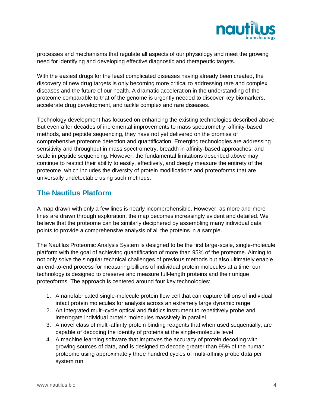

processes and mechanisms that regulate all aspects of our physiology and meet the growing need for identifying and developing effective diagnostic and therapeutic targets.

With the easiest drugs for the least complicated diseases having already been created, the discovery of new drug targets is only becoming more critical to addressing rare and complex diseases and the future of our health. A dramatic acceleration in the understanding of the proteome comparable to that of the genome is urgently needed to discover key biomarkers, accelerate drug development, and tackle complex and rare diseases.

Technology development has focused on enhancing the existing technologies described above. But even after decades of incremental improvements to mass spectrometry, affinity-based methods, and peptide sequencing, they have not yet delivered on the promise of comprehensive proteome detection and quantification. Emerging technologies are addressing sensitivity and throughput in mass spectrometry, breadth in affinity-based approaches, and scale in peptide sequencing. However, the fundamental limitations described above may continue to restrict their ability to easily, effectively, and deeply measure the entirety of the proteome, which includes the diversity of protein modifications and proteoforms that are universally undetectable using such methods.

#### **The Nautilus Platform**

A map drawn with only a few lines is nearly incomprehensible. However, as more and more lines are drawn through exploration, the map becomes increasingly evident and detailed. We believe that the proteome can be similarly deciphered by assembling many individual data points to provide a comprehensive analysis of all the proteins in a sample.

The Nautilus Proteomic Analysis System is designed to be the first large-scale, single-molecule platform with the goal of achieving quantification of more than 95% of the proteome. Aiming to not only solve the singular technical challenges of previous methods but also ultimately enable an end-to-end process for measuring billions of individual protein molecules at a time, our technology is designed to preserve and measure full-length proteins and their unique proteoforms. The approach is centered around four key technologies:

- 1. A nanofabricated single-molecule protein flow cell that can capture billions of individual intact protein molecules for analysis across an extremely large dynamic range
- 2. An integrated multi-cycle optical and fluidics instrument to repetitively probe and interrogate individual protein molecules massively in parallel
- 3. A novel class of multi-affinity protein binding reagents that when used sequentially, are capable of decoding the identity of proteins at the single-molecule level
- 4. A machine learning software that improves the accuracy of protein decoding with growing sources of data, and is designed to decode greater than 95% of the human proteome using approximately three hundred cycles of multi-affinity probe data per system run